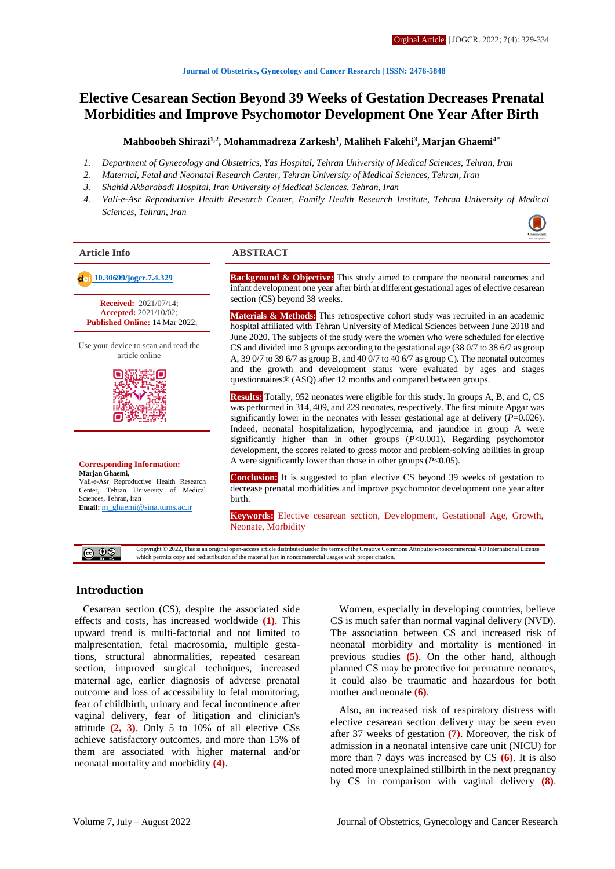# **Elective Cesarean Section Beyond 39 Weeks of Gestation Decreases Prenatal Morbidities and Improve Psychomotor Development One Year After Birth**

#### **Mahboobeh Shirazi1,2 , Mohammadreza Zarkesh<sup>1</sup> , Maliheh Fakehi<sup>3</sup> , Marjan Ghaemi4\***

- *1. Department of Gynecology and Obstetrics, Yas Hospital, Tehran University of Medical Sciences, Tehran, Iran*
- *2. Maternal, Fetal and Neonatal Research Center, Tehran University of Medical Sciences, Tehran, Iran*
- *3. Shahid Akbarabadi Hospital, Iran University of Medical Sciences, Tehran, Iran*
- *4. Vali-e-Asr Reproductive Health Research Center, Family Health Research Institute, Tehran University of Medical Sciences, Tehran, Iran*

**Received:** 2021/07/14; **Accepted:** 2021/10/02; **Published Online:** 14 Mar 2022;

Use your device to scan and read the article online



**Corresponding Information: Marjan Ghaemi,** Vali-e-Asr Reproductive Health Research Center, Tehran University of Medical

Sciences, Tehran, Iran **Email:** [m\\_ghaemi@sina.tums.ac.ir](mailto:m_ghaemi@sina.tums.ac.ir)

#### **Article Info ABSTRACT**

**[10.30699/jogcr.7.4.329](http://dx.doi.org/10.30699/jogcr.7.4.329) Background & Objective:** This study aimed to compare the neonatal outcomes and infant development one year after birth at different gestational ages of elective cesarean section (CS) beyond 38 weeks.

> **Materials & Methods:** This retrospective cohort study was recruited in an academic hospital affiliated with Tehran University of Medical Sciences between June 2018 and June 2020. The subjects of the study were the women who were scheduled for elective CS and divided into 3 groups according to the gestational age (38 0/7 to 38 6/7 as group A, 39 0/7 to 39 6/7 as group B, and 40 0/7 to 40 6/7 as group C). The neonatal outcomes and the growth and development status were evaluated by ages and stages questionnaires® (ASQ) after 12 months and compared between groups.

> **Results:** Totally, 952 neonates were eligible for this study. In groups A, B, and C, CS was performed in 314, 409, and 229 neonates, respectively. The first minute Apgar was significantly lower in the neonates with lesser gestational age at delivery  $(P=0.026)$ . Indeed, neonatal hospitalization, hypoglycemia, and jaundice in group A were significantly higher than in other groups (*P*<0.001). Regarding psychomotor development, the scores related to gross motor and problem-solving abilities in group A were significantly lower than those in other groups (*P*<0.05).

> **Conclusion:** It is suggested to plan elective CS beyond 39 weeks of gestation to decrease prenatal morbidities and improve psychomotor development one year after birth.

> **Keywords:** Elective cesarean section, Development, Gestational Age, Growth, Neonate, Morbidity

Copyright © 2022, This is an original open-access article distributed under the terms of the Creative Commons Attribution-noncommercial 4.0 International License @ ⊕ ® which permits copy and redistribution of the material just in noncommercial usages with proper citation.

## **Introduction**

Cesarean section (CS), despite the associated side effects and costs, has increased worldwide **(1)**. This upward trend is multi-factorial and not limited to malpresentation, fetal macrosomia, multiple gestations, structural abnormalities, repeated cesarean section, improved surgical techniques, increased maternal age, earlier diagnosis of adverse prenatal outcome and loss of accessibility to fetal monitoring, fear of childbirth, urinary and fecal incontinence after vaginal delivery, fear of litigation and clinician's attitude **(2, 3)**. Only 5 to 10% of all elective CSs achieve satisfactory outcomes, and more than 15% of them are associated with higher maternal and/or neonatal mortality and morbidity **(4)**.

Women, especially in developing countries, believe CS is much safer than normal vaginal delivery (NVD). The association between CS and increased risk of neonatal morbidity and mortality is mentioned in previous studies **(5)**. On the other hand, although planned CS may be protective for premature neonates, it could also be traumatic and hazardous for both mother and neonate **(6)**.

Also, an increased risk of respiratory distress with elective cesarean section delivery may be seen even after 37 weeks of gestation **(7)**. Moreover, the risk of admission in a neonatal intensive care unit (NICU) for more than 7 days was increased by CS **(6)**. It is also noted more unexplained stillbirth in the next pregnancy by CS in comparison with vaginal delivery **(8)**.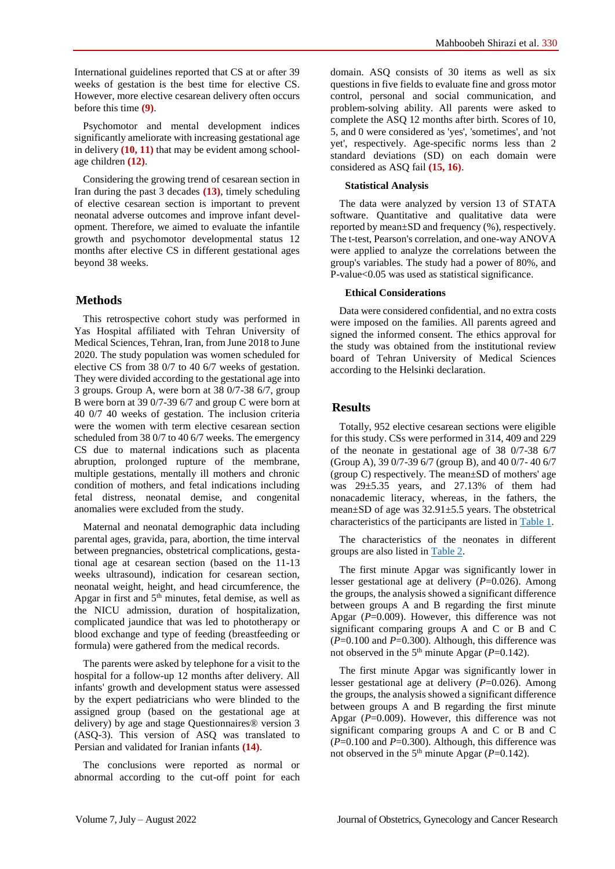International guidelines reported that CS at or after 39 weeks of gestation is the best time for elective CS. However, more elective cesarean delivery often occurs before this time **(9)**.

Psychomotor and mental development indices significantly ameliorate with increasing gestational age in delivery **(10, 11)** that may be evident among schoolage children **(12)**.

Considering the growing trend of cesarean section in Iran during the past 3 decades **(13)**, timely scheduling of elective cesarean section is important to prevent neonatal adverse outcomes and improve infant development. Therefore, we aimed to evaluate the infantile growth and psychomotor developmental status 12 months after elective CS in different gestational ages beyond 38 weeks.

## **Methods**

This retrospective cohort study was performed in Yas Hospital affiliated with Tehran University of Medical Sciences, Tehran, Iran, from June 2018 to June 2020. The study population was women scheduled for elective CS from 38 0/7 to 40 6/7 weeks of gestation. They were divided according to the gestational age into 3 groups. Group A, were born at 38 0/7-38 6/7, group B were born at 39 0/7-39 6/7 and group C were born at 40 0/7 40 weeks of gestation. The inclusion criteria were the women with term elective cesarean section scheduled from 38 0/7 to 40 6/7 weeks. The emergency CS due to maternal indications such as placenta abruption, prolonged rupture of the membrane, multiple gestations, mentally ill mothers and chronic condition of mothers, and fetal indications including fetal distress, neonatal demise, and congenital anomalies were excluded from the study.

Maternal and neonatal demographic data including parental ages, gravida, para, abortion, the time interval between pregnancies, obstetrical complications, gestational age at cesarean section (based on the 11-13 weeks ultrasound), indication for cesarean section, neonatal weight, height, and head circumference, the Apgar in first and 5th minutes, fetal demise, as well as the NICU admission, duration of hospitalization, complicated jaundice that was led to phototherapy or blood exchange and type of feeding (breastfeeding or formula) were gathered from the medical records.

The parents were asked by telephone for a visit to the hospital for a follow-up 12 months after delivery. All infants' growth and development status were assessed by the expert pediatricians who were blinded to the assigned group (based on the gestational age at delivery) by age and stage Questionnaires® version 3 (ASQ-3). This version of ASQ was translated to Persian and validated for Iranian infants **(14)**.

The conclusions were reported as normal or abnormal according to the cut-off point for each domain. ASQ consists of 30 items as well as six questions in five fields to evaluate fine and gross motor control, personal and social communication, and problem-solving ability. All parents were asked to complete the ASQ 12 months after birth. Scores of 10, 5, and 0 were considered as 'yes', 'sometimes', and 'not yet', respectively. Age-specific norms less than 2 standard deviations (SD) on each domain were considered as ASQ fail **(15, 16)**.

## **Statistical Analysis**

The data were analyzed by version 13 of STATA software. Quantitative and qualitative data were reported by mean±SD and frequency (%), respectively. The t-test, Pearson's correlation, and one-way ANOVA were applied to analyze the correlations between the group's variables. The study had a power of 80%, and P-value<0.05 was used as statistical significance.

## **Ethical Considerations**

Data were considered confidential, and no extra costs were imposed on the families. All parents agreed and signed the informed consent. The ethics approval for the study was obtained from the institutional review board of Tehran University of Medical Sciences according to the Helsinki declaration.

# **Results**

Totally, 952 elective cesarean sections were eligible for this study. CSs were performed in 314, 409 and 229 of the neonate in gestational age of 38 0/7-38 6/7 (Group A), 39 0/7-39 6/7 (group B), and 40 0/7- 40 6/7 (group C) respectively. The mean±SD of mothers' age was 29±5.35 years, and 27.13% of them had nonacademic literacy, whereas, in the fathers, the mean±SD of age was 32.91±5.5 years. The obstetrical characteristics of the participants are listed in [Table 1.](#page-2-0)

The characteristics of the neonates in different groups are also listed in [Table 2.](#page-2-1)

The first minute Apgar was significantly lower in lesser gestational age at delivery (*P*=0.026). Among the groups, the analysis showed a significant difference between groups A and B regarding the first minute Apgar (P=0.009). However, this difference was not significant comparing groups A and C or B and C  $(P=0.100$  and  $P=0.300$ ). Although, this difference was not observed in the  $5<sup>th</sup>$  minute Apgar ( $P=0.142$ ).

The first minute Apgar was significantly lower in lesser gestational age at delivery (*P*=0.026). Among the groups, the analysis showed a significant difference between groups A and B regarding the first minute Apgar (*P*=0.009). However, this difference was not significant comparing groups A and C or B and C  $(P=0.100$  and  $P=0.300$ ). Although, this difference was not observed in the  $5<sup>th</sup>$  minute Apgar ( $P=0.142$ ).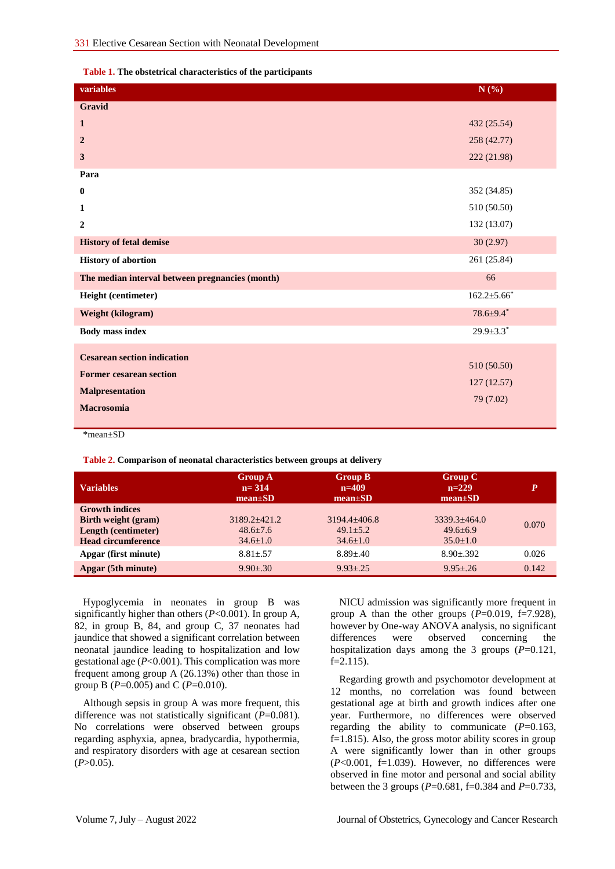<span id="page-2-0"></span>**Table 1. The obstetrical characteristics of the participants** 

| variables                                       | N(%)               |
|-------------------------------------------------|--------------------|
| Gravid                                          |                    |
| $\mathbf{1}$                                    | 432 (25.54)        |
| $\overline{2}$                                  | 258 (42.77)        |
| 3                                               | 222 (21.98)        |
| Para                                            |                    |
| $\bf{0}$                                        | 352 (34.85)        |
| 1                                               | 510 (50.50)        |
| $\mathbf{2}$                                    | 132 (13.07)        |
| <b>History of fetal demise</b>                  | 30(2.97)           |
| <b>History of abortion</b>                      | 261 (25.84)        |
| The median interval between pregnancies (month) | 66                 |
| Height (centimeter)                             | $162.2 \pm 5.66^*$ |
| Weight (kilogram)                               | $78.6 \pm 9.4^*$   |
| <b>Body mass index</b>                          | $29.9 \pm 3.3^*$   |
| <b>Cesarean section indication</b>              |                    |
| <b>Former cesarean section</b>                  | 510 (50.50)        |
|                                                 | 127 (12.57)        |
| <b>Malpresentation</b>                          | 79 (7.02)          |
| <b>Macrosomia</b>                               |                    |

\*mean±SD

<span id="page-2-1"></span>**Table 2. Comparison of neonatal characteristics between groups at delivery** 

| <b>Variables</b>          | <b>Group A</b><br>$n = 314$<br>$mean \pm SD$ | <b>Group B</b><br>$n=409$<br>$mean \pm SD$ | Group C<br>$n=229$<br>$mean \pm SD$ | P     |
|---------------------------|----------------------------------------------|--------------------------------------------|-------------------------------------|-------|
| <b>Growth indices</b>     |                                              |                                            |                                     |       |
| Birth weight (gram)       | $3189.2 + 421.2$                             | $3194.4 + 406.8$                           | $3339.3 + 464.0$                    | 0.070 |
| Length (centimeter)       | $48.6 \pm 7.6$                               | $49.1 \pm 5.2$                             | $49.6 \pm 6.9$                      |       |
| <b>Head circumference</b> | $34.6 \pm 1.0$                               | $34.6 \pm 1.0$                             | $35.0 \pm 1.0$                      |       |
| Apgar (first minute)      | $8.81 + .57$                                 | $8.89 + .40$                               | $8.90 + .392$                       | 0.026 |
| Apgar (5th minute)        | $9.90 + 30$                                  | $9.93 + 25$                                | $9.95 + .26$                        | 0.142 |

Hypoglycemia in neonates in group B was significantly higher than others (*P*<0.001). In group A, 82, in group B, 84, and group C, 37 neonates had jaundice that showed a significant correlation between neonatal jaundice leading to hospitalization and low gestational age (*P*<0.001). This complication was more frequent among group A (26.13%) other than those in group B (*P*=0.005) and C (*P*=0.010).

Although sepsis in group A was more frequent, this difference was not statistically significant (*P*=0.081). No correlations were observed between groups regarding asphyxia, apnea, bradycardia, hypothermia, and respiratory disorders with age at cesarean section  $(P>0.05)$ .

NICU admission was significantly more frequent in group A than the other groups  $(P=0.019, f=7.928)$ , however by One-way ANOVA analysis, no significant differences were observed concerning the hospitalization days among the 3 groups (*P*=0.121,  $f=2.115$ ).

Regarding growth and psychomotor development at 12 months, no correlation was found between gestational age at birth and growth indices after one year. Furthermore, no differences were observed regarding the ability to communicate  $(P=0.163)$ , f=1.815). Also, the gross motor ability scores in group A were significantly lower than in other groups  $(P<0.001, f=1.039)$ . However, no differences were observed in fine motor and personal and social ability between the 3 groups (*P*=0.681, f=0.384 and *P*=0.733,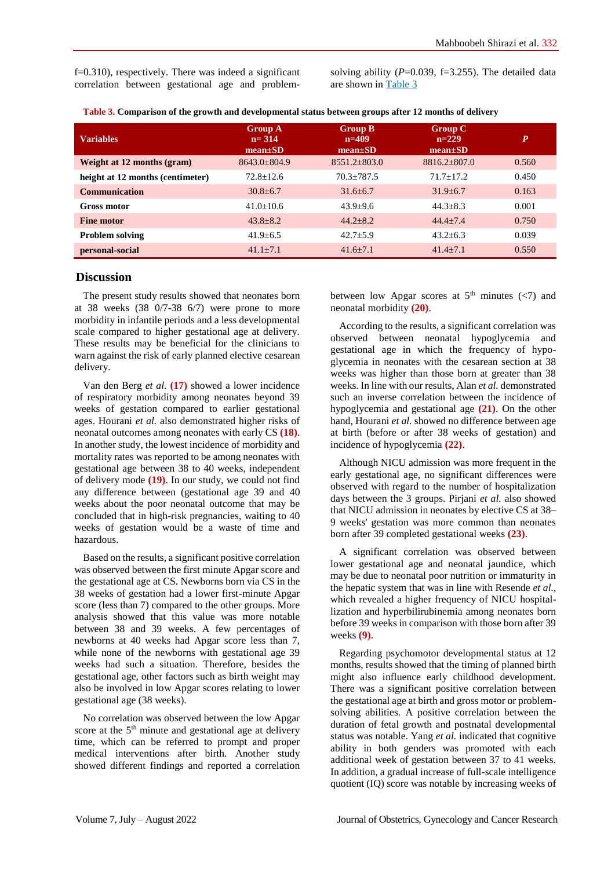f=0.310), respectively. There was indeed a significant correlation between gestational age and problemsolving ability  $(P=0.039, f=3.255)$ . The detailed data are shown i[n Table 3](#page-3-0)

<span id="page-3-0"></span>

|  |  |  |  |  | Table 3. Comparison of the growth and developmental status between groups after 12 months of delivery |
|--|--|--|--|--|-------------------------------------------------------------------------------------------------------|
|--|--|--|--|--|-------------------------------------------------------------------------------------------------------|

| <b>Variables</b>                 | <b>Group A</b><br>$n = 314$<br>$mean \pm SD$ | <b>Group B</b><br>$n=409$<br>$mean \pm SD$ | <b>Group C</b><br>$n=229$<br>$mean \pm SD$ | P     |
|----------------------------------|----------------------------------------------|--------------------------------------------|--------------------------------------------|-------|
| Weight at 12 months (gram)       | $8643.0 \pm 804.9$                           | $8551.2 \pm 803.0$                         | $8816.2 + 807.0$                           | 0.560 |
| height at 12 months (centimeter) | $72.8 + 12.6$                                | $70.3 + 787.5$                             | $71.7 + 17.2$                              | 0.450 |
| <b>Communication</b>             | $30.8 + 6.7$                                 | $31.6 + 6.7$                               | $31.9 + 6.7$                               | 0.163 |
| <b>Gross motor</b>               | $41.0 \pm 10.6$                              | $43.9 + 9.6$                               | $44.3 + 8.3$                               | 0.001 |
| <b>Fine motor</b>                | $43.8 + 8.2$                                 | $44.2 + 8.2$                               | $44.4 + 7.4$                               | 0.750 |
| <b>Problem solving</b>           | $41.9 + 6.5$                                 | $42.7 \pm 5.9$                             | $43.2 + 6.3$                               | 0.039 |
| personal-social                  | $41.1 + 7.1$                                 | $41.6 + 7.1$                               | $41.4 + 7.1$                               | 0.550 |

### **Discussion**

The present study results showed that neonates born at 38 weeks (38 0/7-38 6/7) were prone to more morbidity in infantile periods and a less developmental scale compared to higher gestational age at delivery. These results may be beneficial for the clinicians to warn against the risk of early planned elective cesarean delivery.

Van den Berg *et al.* **(17)** showed a lower incidence of respiratory morbidity among neonates beyond 39 weeks of gestation compared to earlier gestational ages. Hourani *et al.* also demonstrated higher risks of neonatal outcomes among neonates with early CS **(18)**. In another study, the lowest incidence of morbidity and mortality rates was reported to be among neonates with gestational age between 38 to 40 weeks, independent of delivery mode **(19)**. In our study, we could not find any difference between (gestational age 39 and 40 weeks about the poor neonatal outcome that may be concluded that in high-risk pregnancies, waiting to 40 weeks of gestation would be a waste of time and hazardous.

Based on the results, a significant positive correlation was observed between the first minute Apgar score and the gestational age at CS. Newborns born via CS in the 38 weeks of gestation had a lower first-minute Apgar score (less than 7) compared to the other groups. More analysis showed that this value was more notable between 38 and 39 weeks. A few percentages of newborns at 40 weeks had Apgar score less than 7, while none of the newborns with gestational age 39 weeks had such a situation. Therefore, besides the gestational age, other factors such as birth weight may also be involved in low Apgar scores relating to lower gestational age (38 weeks).

No correlation was observed between the low Apgar score at the 5<sup>th</sup> minute and gestational age at delivery time, which can be referred to prompt and proper medical interventions after birth. Another study showed different findings and reported a correlation between low Apgar scores at  $5<sup>th</sup>$  minutes (<7) and neonatal morbidity **(20)**.

According to the results, a significant correlation was observed between neonatal hypoglycemia and gestational age in which the frequency of hypoglycemia in neonates with the cesarean section at 38 weeks was higher than those born at greater than 38 weeks. In line with our results, Alan *et al.* demonstrated such an inverse correlation between the incidence of hypoglycemia and gestational age **(21)**. On the other hand, Hourani *et al.* showed no difference between age at birth (before or after 38 weeks of gestation) and incidence of hypoglycemia **(22)**.

Although NICU admission was more frequent in the early gestational age, no significant differences were observed with regard to the number of hospitalization days between the 3 groups. Pirjani *et al.* also showed that NICU admission in neonates by elective CS at 38– 9 weeks' gestation was more common than neonates born after 39 completed gestational weeks **(23)**.

A significant correlation was observed between lower gestational age and neonatal jaundice, which may be due to neonatal poor nutrition or immaturity in the hepatic system that was in line with Resende *et al.,* which revealed a higher frequency of NICU hospitallization and hyperbilirubinemia among neonates born before 39 weeks in comparison with those born after 39 weeks **(9)**.

Regarding psychomotor developmental status at 12 months, results showed that the timing of planned birth might also influence early childhood development. There was a significant positive correlation between the gestational age at birth and gross motor or problemsolving abilities. A positive correlation between the duration of fetal growth and postnatal developmental status was notable. Yang *et al.* indicated that cognitive ability in both genders was promoted with each additional week of gestation between 37 to 41 weeks. In addition, a gradual increase of full-scale intelligence quotient (IQ) score was notable by increasing weeks of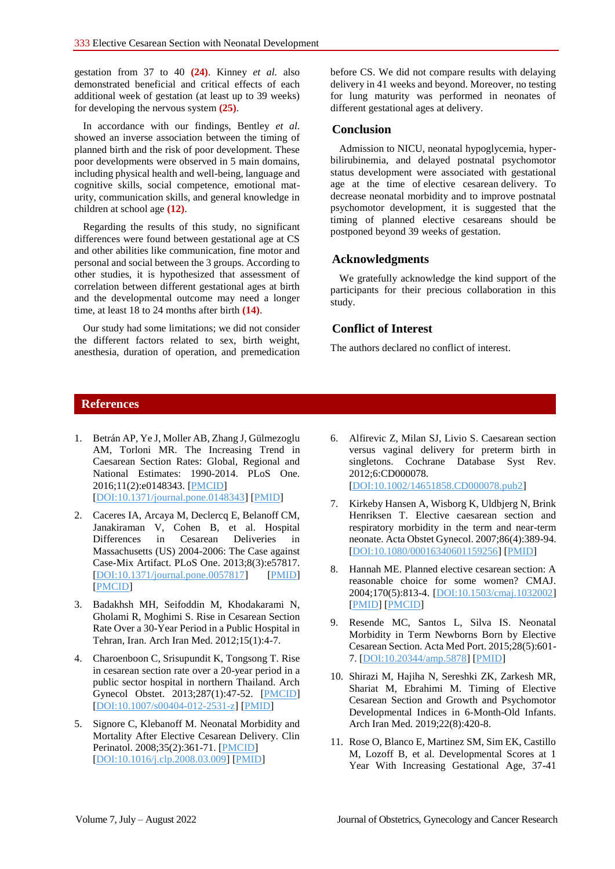gestation from 37 to 40 **(24)**. Kinney *et al.* also demonstrated beneficial and critical effects of each additional week of gestation (at least up to 39 weeks) for developing the nervous system **(25)**.

In accordance with our findings, Bentley *et al.* showed an inverse association between the timing of planned birth and the risk of poor development. These poor developments were observed in 5 main domains, including physical health and well-being, language and cognitive skills, social competence, emotional maturity, communication skills, and general knowledge in children at school age **(12)**.

Regarding the results of this study, no significant differences were found between gestational age at CS and other abilities like communication, fine motor and personal and social between the 3 groups. According to other studies, it is hypothesized that assessment of correlation between different gestational ages at birth and the developmental outcome may need a longer time, at least 18 to 24 months after birth **(14)**.

Our study had some limitations; we did not consider the different factors related to sex, birth weight, anesthesia, duration of operation, and premedication

before CS. We did not compare results with delaying delivery in 41 weeks and beyond. Moreover, no testing for lung maturity was performed in neonates of different gestational ages at delivery.

### **Conclusion**

Admission to NICU, neonatal hypoglycemia, hyperbilirubinemia, and delayed postnatal psychomotor status development were associated with gestational age at the time of elective cesarean delivery. To decrease neonatal morbidity and to improve postnatal psychomotor development, it is suggested that the timing of planned elective cesareans should be postponed beyond 39 weeks of gestation.

# **Acknowledgments**

We gratefully acknowledge the kind support of the participants for their precious collaboration in this study.

## **Conflict of Interest**

The authors declared no conflict of interest.

# **References**

- 1. Betrán AP, Ye J, Moller AB, Zhang J, Gülmezoglu AM, Torloni MR. The Increasing Trend in Caesarean Section Rates: Global, Regional and National Estimates: 1990-2014. PLoS One. 2016;11(2):e0148343. [\[PMCID\]](http://www.ncbi.nlm.nih.gov/pmc/articles/PMC4743929) [\[DOI:10.1371/journal.pone.0148343\]](https://doi.org/10.1371/journal.pone.0148343) [\[PMID\]](https://www.ncbi.nlm.nih.gov/pubmed/26849801)
- 2. Caceres IA, Arcaya M, Declercq E, Belanoff CM, Janakiraman V, Cohen B, et al. Hospital Differences in Cesarean Deliveries in Massachusetts (US) 2004-2006: The Case against Case-Mix Artifact. PLoS One. 2013;8(3):e57817. [\[DOI:10.1371/journal.pone.0057817\]](https://doi.org/10.1371/journal.pone.0057817) [\[PMID\]](https://www.ncbi.nlm.nih.gov/pubmed/23526952) [\[PMCID\]](http://www.ncbi.nlm.nih.gov/pmc/articles/PMC3601117)
- 3. Badakhsh MH, Seifoddin M, Khodakarami N, Gholami R, Moghimi S. Rise in Cesarean Section Rate Over a 30-Year Period in a Public Hospital in Tehran, Iran. Arch Iran Med. 2012;15(1):4-7.
- 4. Charoenboon C, Srisupundit K, Tongsong T. Rise in cesarean section rate over a 20-year period in a public sector hospital in northern Thailand. Arch Gynecol Obstet. 2013;287(1):47-52. [\[PMCID\]](http://www.ncbi.nlm.nih.gov/pmc/articles/PMC3535406) [\[DOI:10.1007/s00404-012-2531-z\]](https://doi.org/10.1007/s00404-012-2531-z) [\[PMID\]](https://www.ncbi.nlm.nih.gov/pubmed/22933122)
- 5. Signore C, Klebanoff M. Neonatal Morbidity and Mortality After Elective Cesarean Delivery. Clin Perinatol. 2008;35(2):361-71. [\[PMCID\]](http://www.ncbi.nlm.nih.gov/pmc/articles/PMC2475575) [\[DOI:10.1016/j.clp.2008.03.009\]](https://doi.org/10.1016/j.clp.2008.03.009) [\[PMID\]](https://www.ncbi.nlm.nih.gov/pubmed/18456074)
- 6. Alfirevic Z, Milan SJ, Livio S. Caesarean section versus vaginal delivery for preterm birth in singletons. Cochrane Database Syst Rev. 2012;6:CD000078. [\[DOI:10.1002/14651858.CD000078.pub2\]](https://doi.org/10.1002/14651858.CD000078.pub2)
- 7. Kirkeby Hansen A, Wisborg K, Uldbjerg N, Brink Henriksen T. Elective caesarean section and respiratory morbidity in the term and near-term neonate. Acta Obstet Gynecol. 2007;86(4):389-94. [\[DOI:10.1080/00016340601159256\]](https://doi.org/10.1080/00016340601159256) [\[PMID\]](https://www.ncbi.nlm.nih.gov/pubmed/17486457)
- 8. Hannah ME. Planned elective cesarean section: A reasonable choice for some women? CMAJ. 2004;170(5):813-4. [\[DOI:10.1503/cmaj.1032002\]](https://doi.org/10.1503/cmaj.1032002) [\[PMID\]](https://www.ncbi.nlm.nih.gov/pubmed/14993177) [\[PMCID\]](http://www.ncbi.nlm.nih.gov/pmc/articles/PMC343856)
- 9. Resende MC, Santos L, Silva IS. Neonatal Morbidity in Term Newborns Born by Elective Cesarean Section. Acta Med Port. 2015;28(5):601- 7. [\[DOI:10.20344/amp.5878\]](https://doi.org/10.20344/amp.5878) [\[PMID\]](https://www.ncbi.nlm.nih.gov/pubmed/26667863)
- 10. Shirazi M, Hajiha N, Sereshki ZK, Zarkesh MR, Shariat M, Ebrahimi M. Timing of Elective Cesarean Section and Growth and Psychomotor Developmental Indices in 6-Month-Old Infants. Arch Iran Med. 2019;22(8):420-8.
- 11. Rose O, Blanco E, Martinez SM, Sim EK, Castillo M, Lozoff B, et al. Developmental Scores at 1 Year With Increasing Gestational Age, 37-41